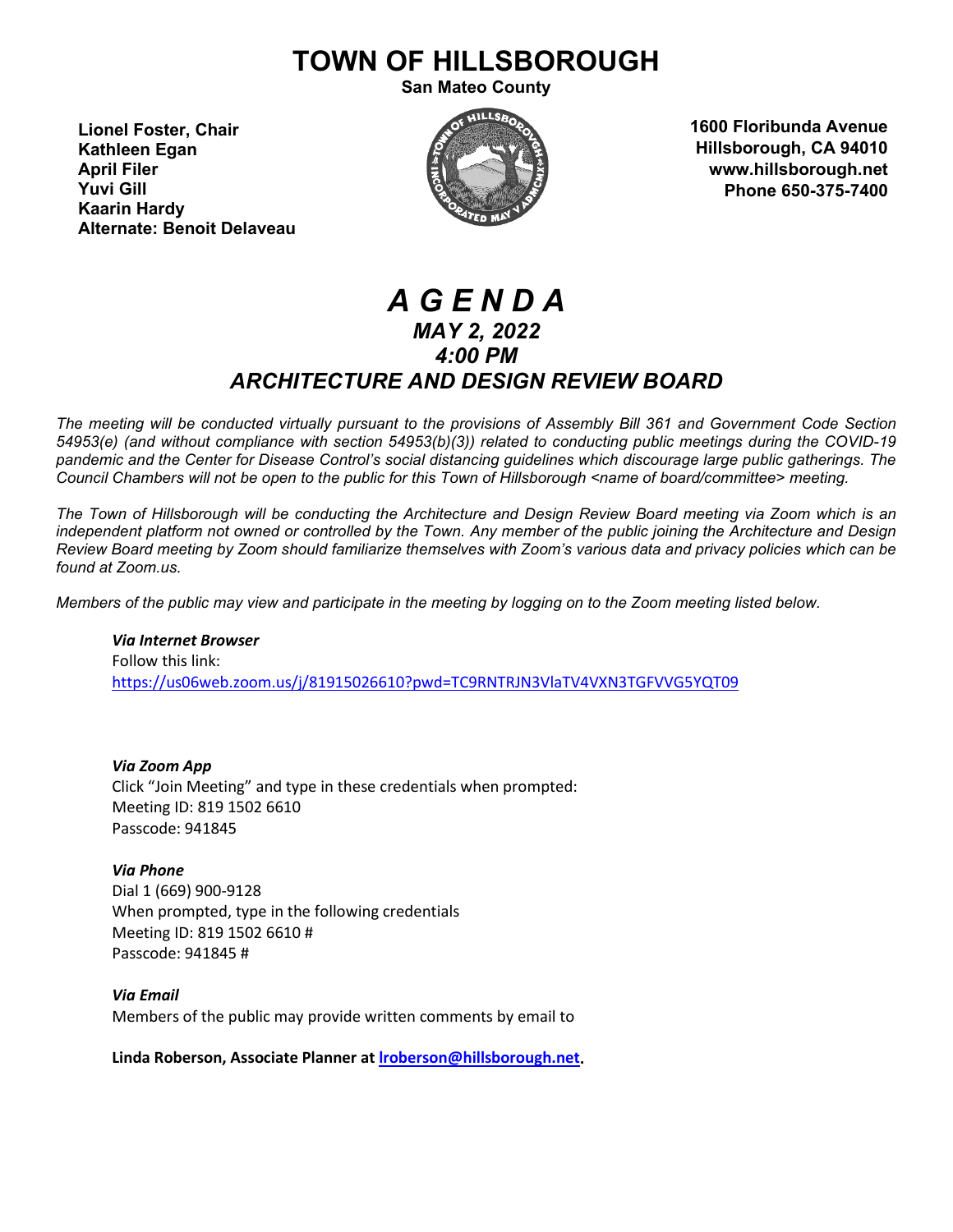# **TOWN OF HILLSBOROUGH**

**San Mateo County**

**Lionel Foster, Chair Kathleen Egan April Filer Yuvi Gill Kaarin Hardy Alternate: Benoit Delaveau**



**1600 Floribunda Avenue Hillsborough, CA 94010 www.hillsborough.net Phone 650-375-7400**

# *A G E N D A MAY 2, 2022 4:00 PM ARCHITECTURE AND DESIGN REVIEW BOARD*

*The meeting will be conducted virtually pursuant to the provisions of Assembly Bill 361 and Government Code Section 54953(e) (and without compliance with section 54953(b)(3)) related to conducting public meetings during the COVID-19 pandemic and the Center for Disease Control's social distancing guidelines which discourage large public gatherings. The Council Chambers will not be open to the public for this Town of Hillsborough <name of board/committee> meeting.*

*The Town of Hillsborough will be conducting the Architecture and Design Review Board meeting via Zoom which is an independent platform not owned or controlled by the Town. Any member of the public joining the Architecture and Design Review Board meeting by Zoom should familiarize themselves with Zoom's various data and privacy policies which can be found at Zoom.us.*

*Members of the public may view and participate in the meeting by logging on to the Zoom meeting listed below.* 

*Via Internet Browser* Follow this link: <https://us06web.zoom.us/j/81915026610?pwd=TC9RNTRJN3VlaTV4VXN3TGFVVG5YQT09>

*Via Zoom App* Click "Join Meeting" and type in these credentials when prompted: Meeting ID: 819 1502 6610 Passcode: 941845

*Via Phone* Dial 1 (669) 900-9128 When prompted, type in the following credentials Meeting ID: 819 1502 6610 # Passcode: 941845 #

*Via Email* Members of the public may provide written comments by email to

**Linda Roberson, Associate Planner a[t lroberson@hillsborough.net.](mailto:lroberson@hillsborough.net)**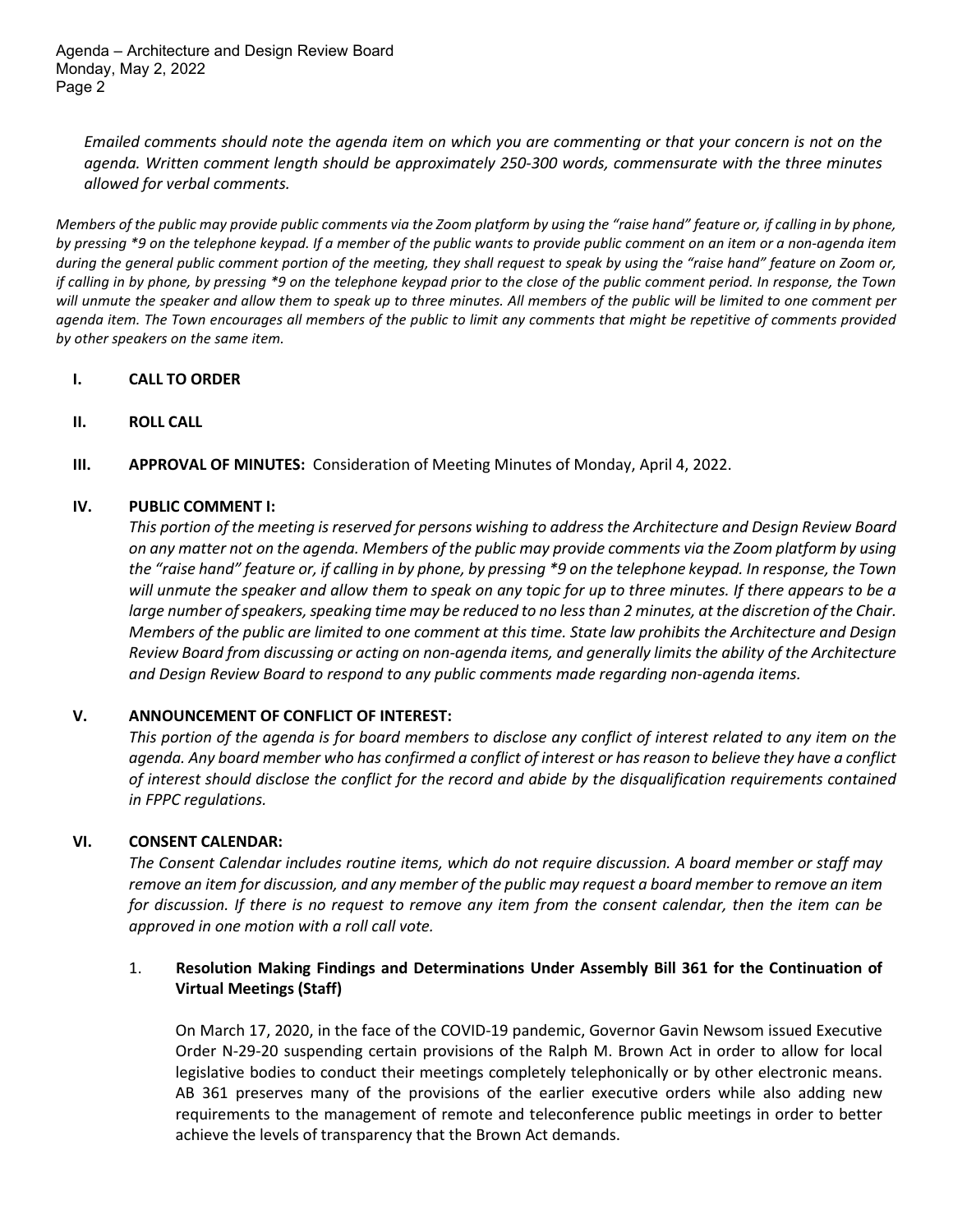Agenda – Architecture and Design Review Board Monday, May 2, 2022 Page 2

*Emailed comments should note the agenda item on which you are commenting or that your concern is not on the agenda. Written comment length should be approximately 250-300 words, commensurate with the three minutes allowed for verbal comments.* 

*Members of the public may provide public comments via the Zoom platform by using the "raise hand" feature or, if calling in by phone, by pressing \*9 on the telephone keypad. If a member of the public wants to provide public comment on an item or a non-agenda item during the general public comment portion of the meeting, they shall request to speak by using the "raise hand" feature on Zoom or, if calling in by phone, by pressing \*9 on the telephone keypad prior to the close of the public comment period. In response, the Town will unmute the speaker and allow them to speak up to three minutes. All members of the public will be limited to one comment per agenda item. The Town encourages all members of the public to limit any comments that might be repetitive of comments provided by other speakers on the same item.* 

# **I. CALL TO ORDER**

- **II. ROLL CALL**
- **III. APPROVAL OF MINUTES:** Consideration of Meeting Minutes of Monday, April 4, 2022.

# **IV. PUBLIC COMMENT I:**

*This portion of the meeting is reserved for persons wishing to address the Architecture and Design Review Board on any matter not on the agenda. Members of the public may provide comments via the Zoom platform by using the "raise hand" feature or, if calling in by phone, by pressing \*9 on the telephone keypad. In response, the Town will unmute the speaker and allow them to speak on any topic for up to three minutes. If there appears to be a large number of speakers, speaking time may be reduced to no less than 2 minutes, at the discretion of the Chair. Members of the public are limited to one comment at this time. State law prohibits the Architecture and Design Review Board from discussing or acting on non-agenda items, and generally limits the ability of the Architecture and Design Review Board to respond to any public comments made regarding non-agenda items.*

### **V. ANNOUNCEMENT OF CONFLICT OF INTEREST:**

*This portion of the agenda is for board members to disclose any conflict of interest related to any item on the agenda. Any board member who has confirmed a conflict of interest or has reason to believe they have a conflict of interest should disclose the conflict for the record and abide by the disqualification requirements contained in FPPC regulations.*

### **VI. CONSENT CALENDAR:**

*The Consent Calendar includes routine items, which do not require discussion. A board member or staff may remove an item for discussion, and any member of the public may request a board member to remove an item for discussion. If there is no request to remove any item from the consent calendar, then the item can be approved in one motion with a roll call vote.*

# 1. **Resolution Making Findings and Determinations Under Assembly Bill 361 for the Continuation of Virtual Meetings (Staff)**

On March 17, 2020, in the face of the COVID-19 pandemic, Governor Gavin Newsom issued Executive Order N-29-20 suspending certain provisions of the Ralph M. Brown Act in order to allow for local legislative bodies to conduct their meetings completely telephonically or by other electronic means. AB 361 preserves many of the provisions of the earlier executive orders while also adding new requirements to the management of remote and teleconference public meetings in order to better achieve the levels of transparency that the Brown Act demands.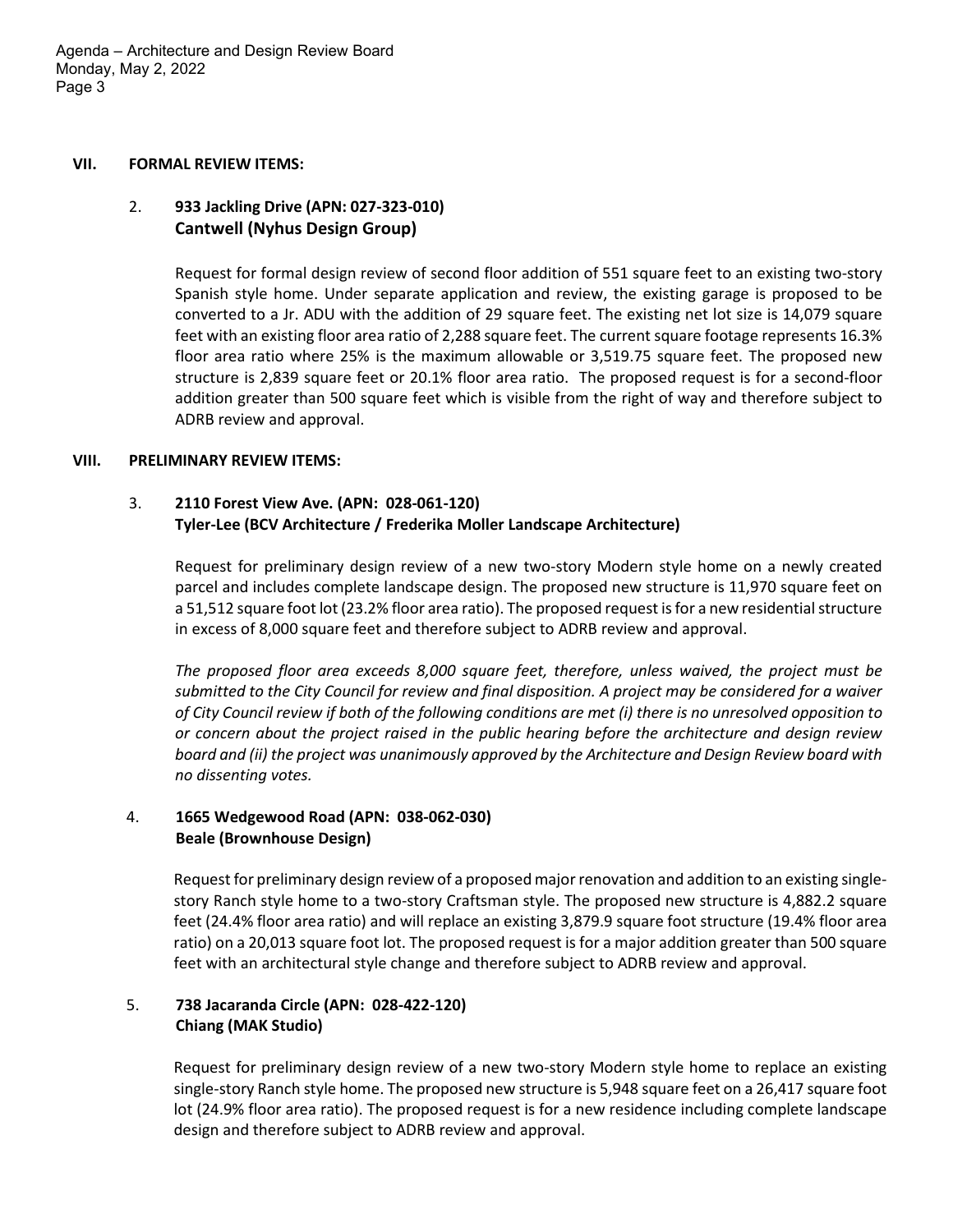Agenda – Architecture and Design Review Board Monday, May 2, 2022 Page 3

### **VII. FORMAL REVIEW ITEMS:**

# 2. **933 Jackling Drive (APN: 027-323-010) Cantwell (Nyhus Design Group)**

Request for formal design review of second floor addition of 551 square feet to an existing two-story Spanish style home. Under separate application and review, the existing garage is proposed to be converted to a Jr. ADU with the addition of 29 square feet. The existing net lot size is 14,079 square feet with an existing floor area ratio of 2,288 square feet. The current square footage represents 16.3% floor area ratio where 25% is the maximum allowable or 3,519.75 square feet. The proposed new structure is 2,839 square feet or 20.1% floor area ratio. The proposed request is for a second-floor addition greater than 500 square feet which is visible from the right of way and therefore subject to ADRB review and approval.

# **VIII. PRELIMINARY REVIEW ITEMS:**

# 3. **2110 Forest View Ave. (APN: 028-061-120) Tyler-Lee (BCV Architecture / Frederika Moller Landscape Architecture)**

Request for preliminary design review of a new two-story Modern style home on a newly created parcel and includes complete landscape design. The proposed new structure is 11,970 square feet on a 51,512 square foot lot (23.2% floor area ratio). The proposed request is for a new residential structure in excess of 8,000 square feet and therefore subject to ADRB review and approval.

*The proposed floor area exceeds 8,000 square feet, therefore, unless waived, the project must be submitted to the City Council for review and final disposition. A project may be considered for a waiver of City Council review if both of the following conditions are met (i) there is no unresolved opposition to or concern about the project raised in the public hearing before the architecture and design review board and (ii) the project was unanimously approved by the Architecture and Design Review board with no dissenting votes.*

#### 4.  **1665 Wedgewood Road (APN: 038-062-030) Beale (Brownhouse Design)**

Request for preliminary design review of a proposed major renovation and addition to an existing singlestory Ranch style home to a two-story Craftsman style. The proposed new structure is 4,882.2 square feet (24.4% floor area ratio) and will replace an existing 3,879.9 square foot structure (19.4% floor area ratio) on a 20,013 square foot lot. The proposed request is for a major addition greater than 500 square feet with an architectural style change and therefore subject to ADRB review and approval.

#### 5.  **738 Jacaranda Circle (APN: 028-422-120) Chiang (MAK Studio)**

Request for preliminary design review of a new two-story Modern style home to replace an existing single-story Ranch style home. The proposed new structure is 5,948 square feet on a 26,417 square foot lot (24.9% floor area ratio). The proposed request is for a new residence including complete landscape design and therefore subject to ADRB review and approval.